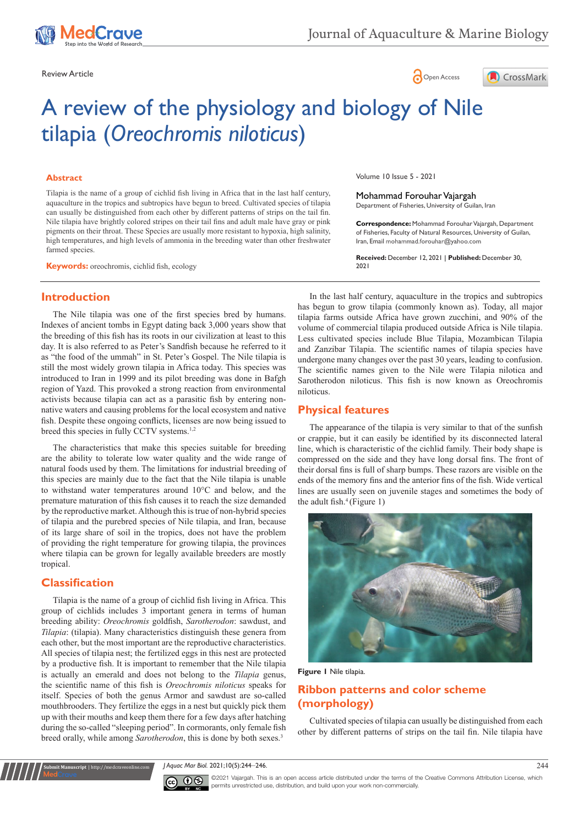





# A review of the physiology and biology of Nile tilapia (*Oreochromis niloticus*)

#### **Abstract**

Tilapia is the name of a group of cichlid fish living in Africa that in the last half century, aquaculture in the tropics and subtropics have begun to breed. Cultivated species of tilapia can usually be distinguished from each other by different patterns of strips on the tail fin. Nile tilapia have brightly colored stripes on their tail fins and adult male have gray or pink pigments on their throat. These Species are usually more resistant to hypoxia, high salinity, high temperatures, and high levels of ammonia in the breeding water than other freshwater farmed species.

**Keywords:** oreochromis, cichlid fish, ecology

**Introduction**

The Nile tilapia was one of the first species bred by humans. Indexes of ancient tombs in Egypt dating back 3,000 years show that the breeding of this fish has its roots in our civilization at least to this day. It is also referred to as Peter's Sandfish because he referred to it as "the food of the ummah" in St. Peter's Gospel. The Nile tilapia is still the most widely grown tilapia in Africa today. This species was introduced to Iran in 1999 and its pilot breeding was done in Bafgh region of Yazd. This provoked a strong reaction from environmental activists because tilapia can act as a parasitic fish by entering nonnative waters and causing problems for the local ecosystem and native fish. Despite these ongoing conflicts, licenses are now being issued to breed this species in fully CCTV systems.<sup>1,2</sup>

The characteristics that make this species suitable for breeding are the ability to tolerate low water quality and the wide range of natural foods used by them. The limitations for industrial breeding of this species are mainly due to the fact that the Nile tilapia is unable to withstand water temperatures around 10°C and below, and the premature maturation of this fish causes it to reach the size demanded by the reproductive market. Although this is true of non-hybrid species of tilapia and the purebred species of Nile tilapia, and Iran, because of its large share of soil in the tropics, does not have the problem of providing the right temperature for growing tilapia, the provinces where tilapia can be grown for legally available breeders are mostly tropical.

# **Classification**

**Submit Manuscript** | http://medcraveonline.com

Tilapia is the name of a group of cichlid fish living in Africa. This group of cichlids includes 3 important genera in terms of human breeding ability: *Oreochromis* goldfish, *Sarotherodon*: sawdust, and *Tilapia*: (tilapia). Many characteristics distinguish these genera from each other, but the most important are the reproductive characteristics. All species of tilapia nest; the fertilized eggs in this nest are protected by a productive fish. It is important to remember that the Nile tilapia is actually an emerald and does not belong to the *Tilapia* genus, the scientific name of this fish is *Oreochromis niloticus* speaks for itself. Species of both the genus Armor and sawdust are so-called mouthbrooders. They fertilize the eggs in a nest but quickly pick them up with their mouths and keep them there for a few days after hatching during the so-called "sleeping period". In cormorants, only female fish breed orally, while among *Sarotherodon*, this is done by both sexes.3

Volume 10 Issue 5 - 2021

Mohammad Forouhar Vajargah

Department of Fisheries, University of Guilan, Iran

**Correspondence:** Mohammad Forouhar Vajargah, Department of Fisheries, Faculty of Natural Resources, University of Guilan, Iran, Email mohammad.forouhar@yahoo.com

**Received:** December 12, 2021 | **Published:** December 30, 2021

In the last half century, aquaculture in the tropics and subtropics has begun to grow tilapia (commonly known as). Today, all major tilapia farms outside Africa have grown zucchini, and 90% of the volume of commercial tilapia produced outside Africa is Nile tilapia. Less cultivated species include Blue Tilapia, Mozambican Tilapia and Zanzibar Tilapia. The scientific names of tilapia species have undergone many changes over the past 30 years, leading to confusion. The scientific names given to the Nile were Tilapia nilotica and Sarotherodon niloticus. This fish is now known as Oreochromis niloticus.

## **Physical features**

The appearance of the tilapia is very similar to that of the sunfish or crappie, but it can easily be identified by its disconnected lateral line, which is characteristic of the cichlid family. Their body shape is compressed on the side and they have long dorsal fins. The front of their dorsal fins is full of sharp bumps. These razors are visible on the ends of the memory fins and the anterior fins of the fish. Wide vertical lines are usually seen on juvenile stages and sometimes the body of the adult fish.<sup>4</sup> (Figure 1)



**Figure 1** Nile tilapia.

# **Ribbon patterns and color scheme (morphology)**

Cultivated species of tilapia can usually be distinguished from each other by different patterns of strips on the tail fin. Nile tilapia have

*J Aquac Mar Biol.* 2021;10(5):244‒246. 244



©2021 Vajargah. This is an open access article distributed under the terms of the [Creative Commons Attribution License](https://creativecommons.org/licenses/by-nc/4.0/), which permits unrestricted use, distribution, and build upon your work non-commercially.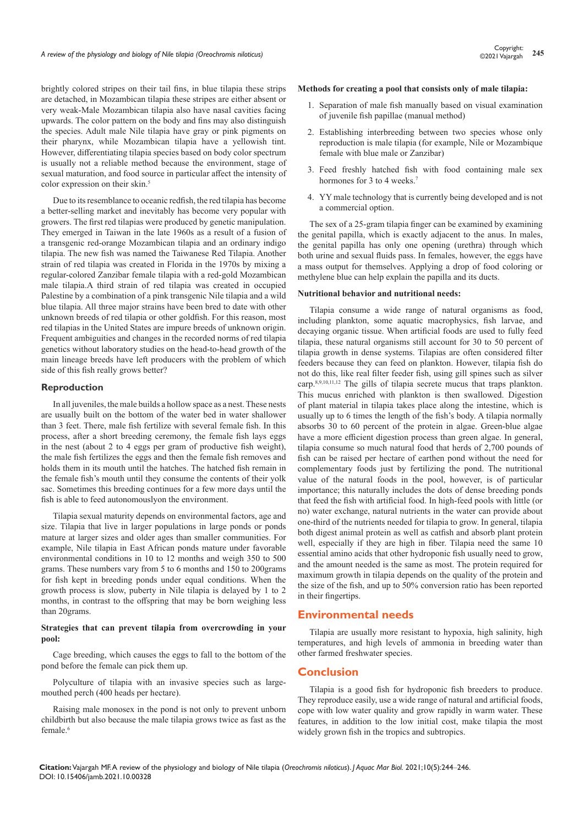brightly colored stripes on their tail fins, in blue tilapia these strips are detached, in Mozambican tilapia these stripes are either absent or very weak-Male Mozambican tilapia also have nasal cavities facing upwards. The color pattern on the body and fins may also distinguish the species. Adult male Nile tilapia have gray or pink pigments on their pharynx, while Mozambican tilapia have a yellowish tint. However, differentiating tilapia species based on body color spectrum is usually not a reliable method because the environment, stage of sexual maturation, and food source in particular affect the intensity of color expression on their skin.<sup>5</sup>

Due to its resemblance to oceanic redfish, the red tilapia has become a better-selling market and inevitably has become very popular with growers. The first red tilapias were produced by genetic manipulation. They emerged in Taiwan in the late 1960s as a result of a fusion of a transgenic red-orange Mozambican tilapia and an ordinary indigo tilapia. The new fish was named the Taiwanese Red Tilapia. Another strain of red tilapia was created in Florida in the 1970s by mixing a regular-colored Zanzibar female tilapia with a red-gold Mozambican male tilapia.A third strain of red tilapia was created in occupied Palestine by a combination of a pink transgenic Nile tilapia and a wild blue tilapia. All three major strains have been bred to date with other unknown breeds of red tilapia or other goldfish. For this reason, most red tilapias in the United States are impure breeds of unknown origin. Frequent ambiguities and changes in the recorded norms of red tilapia genetics without laboratory studies on the head-to-head growth of the main lineage breeds have left producers with the problem of which side of this fish really grows better?

#### **Reproduction**

In all juveniles, the male builds a hollow space as a nest. These nests are usually built on the bottom of the water bed in water shallower than 3 feet. There, male fish fertilize with several female fish. In this process, after a short breeding ceremony, the female fish lays eggs in the nest (about 2 to 4 eggs per gram of productive fish weight), the male fish fertilizes the eggs and then the female fish removes and holds them in its mouth until the hatches. The hatched fish remain in the female fish's mouth until they consume the contents of their yolk sac. Sometimes this breeding continues for a few more days until the fish is able to feed autonomouslyon the environment.

Tilapia sexual maturity depends on environmental factors, age and size. Tilapia that live in larger populations in large ponds or ponds mature at larger sizes and older ages than smaller communities. For example, Nile tilapia in East African ponds mature under favorable environmental conditions in 10 to 12 months and weigh 350 to 500 grams. These numbers vary from 5 to 6 months and 150 to 200grams for fish kept in breeding ponds under equal conditions. When the growth process is slow, puberty in Nile tilapia is delayed by 1 to 2 months, in contrast to the offspring that may be born weighing less than 20grams.

#### **Strategies that can prevent tilapia from overcrowding in your pool:**

Cage breeding, which causes the eggs to fall to the bottom of the pond before the female can pick them up.

Polyculture of tilapia with an invasive species such as largemouthed perch (400 heads per hectare).

Raising male monosex in the pond is not only to prevent unborn childbirth but also because the male tilapia grows twice as fast as the female.6

#### **Methods for creating a pool that consists only of male tilapia:**

- 1. Separation of male fish manually based on visual examination of juvenile fish papillae (manual method)
- 2. Establishing interbreeding between two species whose only reproduction is male tilapia (for example, Nile or Mozambique female with blue male or Zanzibar)
- 3. Feed freshly hatched fish with food containing male sex hormones for 3 to 4 weeks.<sup>7</sup>
- 4. YY male technology that is currently being developed and is not a commercial option.

The sex of a 25-gram tilapia finger can be examined by examining the genital papilla, which is exactly adjacent to the anus. In males, the genital papilla has only one opening (urethra) through which both urine and sexual fluids pass. In females, however, the eggs have a mass output for themselves. Applying a drop of food coloring or methylene blue can help explain the papilla and its ducts.

#### **Nutritional behavior and nutritional needs:**

Tilapia consume a wide range of natural organisms as food, including plankton, some aquatic macrophysics, fish larvae, and decaying organic tissue. When artificial foods are used to fully feed tilapia, these natural organisms still account for 30 to 50 percent of tilapia growth in dense systems. Tilapias are often considered filter feeders because they can feed on plankton. However, tilapia fish do not do this, like real filter feeder fish, using gill spines such as silver carp.8,9,10,11,12 The gills of tilapia secrete mucus that traps plankton. This mucus enriched with plankton is then swallowed. Digestion of plant material in tilapia takes place along the intestine, which is usually up to 6 times the length of the fish's body. A tilapia normally absorbs 30 to 60 percent of the protein in algae. Green-blue algae have a more efficient digestion process than green algae. In general, tilapia consume so much natural food that herds of 2,700 pounds of fish can be raised per hectare of earthen pond without the need for complementary foods just by fertilizing the pond. The nutritional value of the natural foods in the pool, however, is of particular importance; this naturally includes the dots of dense breeding ponds that feed the fish with artificial food. In high-feed pools with little (or no) water exchange, natural nutrients in the water can provide about one-third of the nutrients needed for tilapia to grow. In general, tilapia both digest animal protein as well as catfish and absorb plant protein well, especially if they are high in fiber. Tilapia need the same 10 essential amino acids that other hydroponic fish usually need to grow, and the amount needed is the same as most. The protein required for maximum growth in tilapia depends on the quality of the protein and the size of the fish, and up to 50% conversion ratio has been reported in their fingertips.

## **Environmental needs**

Tilapia are usually more resistant to hypoxia, high salinity, high temperatures, and high levels of ammonia in breeding water than other farmed freshwater species.

## **Conclusion**

Tilapia is a good fish for hydroponic fish breeders to produce. They reproduce easily, use a wide range of natural and artificial foods, cope with low water quality and grow rapidly in warm water. These features, in addition to the low initial cost, make tilapia the most widely grown fish in the tropics and subtropics.